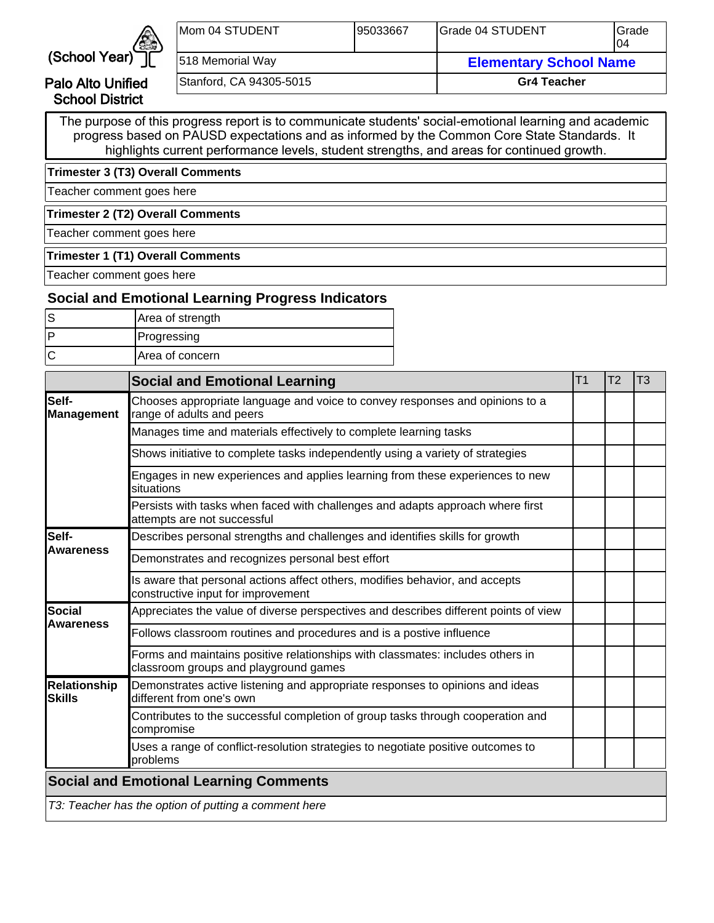

Palo Alto Unified School District

| Mom 04 STUDENT          | 195033667 | IGrade 04 STUDENT             | IGrade<br>104 |
|-------------------------|-----------|-------------------------------|---------------|
| 518 Memorial Way        |           | <b>Elementary School Name</b> |               |
| Stanford, CA 94305-5015 |           | <b>Gr4 Teacher</b>            |               |

The purpose of this progress report is to communicate students' social-emotional learning and academic progress based on PAUSD expectations and as informed by the Common Core State Standards. It highlights current performance levels, student strengths, and areas for continued growth.

**Trimester 3 (T3) Overall Comments**

Teacher comment goes here

**Trimester 2 (T2) Overall Comments**

Teacher comment goes here

#### **Trimester 1 (T1) Overall Comments**

Teacher comment goes here

## **Social and Emotional Learning Progress Indicators**

| Area of strength |
|------------------|
| Progressing      |
| Area of concern  |

|                               | <b>Social and Emotional Learning</b>                                                                                    | T <sub>1</sub> | T <sub>2</sub> | T3 |
|-------------------------------|-------------------------------------------------------------------------------------------------------------------------|----------------|----------------|----|
| lSelf-<br><b>Management</b>   | Chooses appropriate language and voice to convey responses and opinions to a<br>range of adults and peers               |                |                |    |
|                               | Manages time and materials effectively to complete learning tasks                                                       |                |                |    |
|                               | Shows initiative to complete tasks independently using a variety of strategies                                          |                |                |    |
|                               | Engages in new experiences and applies learning from these experiences to new<br>situations                             |                |                |    |
|                               | Persists with tasks when faced with challenges and adapts approach where first<br>attempts are not successful           |                |                |    |
| <b>Self-</b>                  | Describes personal strengths and challenges and identifies skills for growth                                            |                |                |    |
| Awareness                     | Demonstrates and recognizes personal best effort                                                                        |                |                |    |
|                               | Is aware that personal actions affect others, modifies behavior, and accepts<br>constructive input for improvement      |                |                |    |
| lSocial                       | Appreciates the value of diverse perspectives and describes different points of view                                    |                |                |    |
| <b>Awareness</b>              | Follows classroom routines and procedures and is a postive influence                                                    |                |                |    |
|                               | Forms and maintains positive relationships with classmates: includes others in<br>classroom groups and playground games |                |                |    |
| Relationship<br><b>Skills</b> | Demonstrates active listening and appropriate responses to opinions and ideas<br>different from one's own               |                |                |    |
|                               | Contributes to the successful completion of group tasks through cooperation and<br>compromise                           |                |                |    |
|                               | Uses a range of conflict-resolution strategies to negotiate positive outcomes to<br>problems                            |                |                |    |
|                               | <b>Social and Emotional Learning Comments</b>                                                                           |                |                |    |
|                               | T3: Teacher has the option of putting a comment here                                                                    |                |                |    |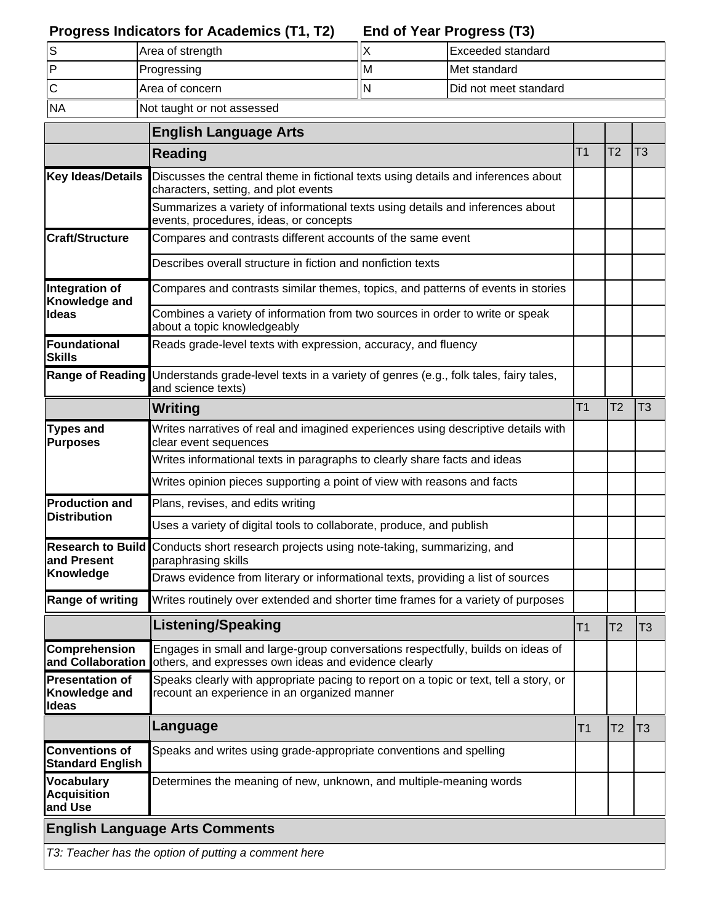#### **End of Year Progress (T3) Progress Indicators for Academics (T1, T2)**

|           | Area of strength           |    | Exceeded standard             |
|-----------|----------------------------|----|-------------------------------|
|           | Progressing                | ΙM | <b>IMet standard</b>          |
|           | IArea of concern           |    | <b>IDid not meet standard</b> |
| <b>NA</b> | Not taught or not assessed |    |                               |

|                                                         | <b>English Language Arts</b>                                                                                                            |                |                |                |
|---------------------------------------------------------|-----------------------------------------------------------------------------------------------------------------------------------------|----------------|----------------|----------------|
|                                                         | <b>Reading</b>                                                                                                                          | Τ1             | T2             | T3             |
| <b>Key Ideas/Details</b>                                | Discusses the central theme in fictional texts using details and inferences about<br>characters, setting, and plot events               |                |                |                |
|                                                         | Summarizes a variety of informational texts using details and inferences about<br>events, procedures, ideas, or concepts                |                |                |                |
| Craft/Structure                                         | Compares and contrasts different accounts of the same event                                                                             |                |                |                |
|                                                         | Describes overall structure in fiction and nonfiction texts                                                                             |                |                |                |
| Integration of<br>Knowledge and                         | Compares and contrasts similar themes, topics, and patterns of events in stories                                                        |                |                |                |
| Ideas                                                   | Combines a variety of information from two sources in order to write or speak<br>about a topic knowledgeably                            |                |                |                |
| <b>Foundational</b><br><b>Skills</b>                    | Reads grade-level texts with expression, accuracy, and fluency                                                                          |                |                |                |
| <b>Range of Reading</b>                                 | Understands grade-level texts in a variety of genres (e.g., folk tales, fairy tales,<br>and science texts)                              |                |                |                |
|                                                         | Writing                                                                                                                                 | T <sub>1</sub> | T <sub>2</sub> | T <sub>3</sub> |
| <b>Types and</b><br><b>Purposes</b>                     | Writes narratives of real and imagined experiences using descriptive details with<br>clear event sequences                              |                |                |                |
|                                                         | Writes informational texts in paragraphs to clearly share facts and ideas                                                               |                |                |                |
|                                                         | Writes opinion pieces supporting a point of view with reasons and facts                                                                 |                |                |                |
| <b>Production and</b>                                   | Plans, revises, and edits writing                                                                                                       |                |                |                |
| <b>Distribution</b>                                     | Uses a variety of digital tools to collaborate, produce, and publish                                                                    |                |                |                |
| <b>Research to Build</b><br>and Present                 | Conducts short research projects using note-taking, summarizing, and<br>paraphrasing skills                                             |                |                |                |
| Knowledge                                               | Draws evidence from literary or informational texts, providing a list of sources                                                        |                |                |                |
| Range of writing                                        | Writes routinely over extended and shorter time frames for a variety of purposes                                                        |                |                |                |
|                                                         | <b>Listening/Speaking</b>                                                                                                               | T1             | T <sub>2</sub> | T <sub>3</sub> |
| Comprehension<br>and Collaboration                      | Engages in small and large-group conversations respectfully, builds on ideas of<br>others, and expresses own ideas and evidence clearly |                |                |                |
| <b>Presentation of</b><br>Knowledge and<br><b>Ideas</b> | Speaks clearly with appropriate pacing to report on a topic or text, tell a story, or<br>recount an experience in an organized manner   |                |                |                |
|                                                         | Language                                                                                                                                | T1             | T <sub>2</sub> | T <sub>3</sub> |
| <b>Conventions of</b><br><b>Standard English</b>        | Speaks and writes using grade-appropriate conventions and spelling                                                                      |                |                |                |
| Vocabulary<br><b>Acquisition</b><br>and Use             | Determines the meaning of new, unknown, and multiple-meaning words                                                                      |                |                |                |
|                                                         | <b>English Language Arts Comments</b>                                                                                                   |                |                |                |

T3: Teacher has the option of putting a comment here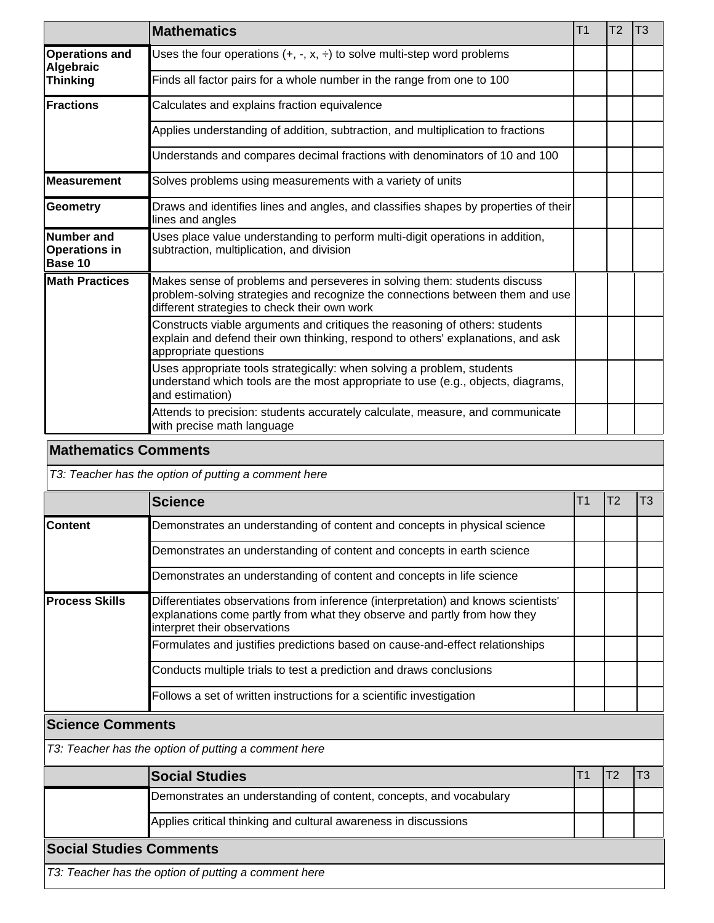|                                                      | <b>Mathematics</b>                                                                                                                                                                                        | T <sub>1</sub> | T <sub>2</sub> | T <sub>3</sub> |
|------------------------------------------------------|-----------------------------------------------------------------------------------------------------------------------------------------------------------------------------------------------------------|----------------|----------------|----------------|
| <b>Operations and</b><br>Algebraic                   | Uses the four operations $(+, -, x, \div)$ to solve multi-step word problems                                                                                                                              |                |                |                |
| <b>Thinking</b>                                      | Finds all factor pairs for a whole number in the range from one to 100                                                                                                                                    |                |                |                |
| Fractions                                            | Calculates and explains fraction equivalence                                                                                                                                                              |                |                |                |
|                                                      | Applies understanding of addition, subtraction, and multiplication to fractions                                                                                                                           |                |                |                |
|                                                      | Understands and compares decimal fractions with denominators of 10 and 100                                                                                                                                |                |                |                |
| <b>Measurement</b>                                   | Solves problems using measurements with a variety of units                                                                                                                                                |                |                |                |
| Geometry                                             | Draws and identifies lines and angles, and classifies shapes by properties of their<br>lines and angles                                                                                                   |                |                |                |
| <b>Number</b> and<br><b>Operations in</b><br>Base 10 | Uses place value understanding to perform multi-digit operations in addition,<br>subtraction, multiplication, and division                                                                                |                |                |                |
| <b>Math Practices</b>                                | Makes sense of problems and perseveres in solving them: students discuss<br>problem-solving strategies and recognize the connections between them and use<br>different strategies to check their own work |                |                |                |
|                                                      | Constructs viable arguments and critiques the reasoning of others: students<br>explain and defend their own thinking, respond to others' explanations, and ask<br>appropriate questions                   |                |                |                |
|                                                      | Uses appropriate tools strategically: when solving a problem, students<br>understand which tools are the most appropriate to use (e.g., objects, diagrams,<br>and estimation)                             |                |                |                |
|                                                      | Attends to precision: students accurately calculate, measure, and communicate<br>with precise math language                                                                                               |                |                |                |

## **Mathematics Comments**

T3: Teacher has the option of putting a comment here

|                        | <b>Science</b>                                                                                                                                                                                |  | T3 |
|------------------------|-----------------------------------------------------------------------------------------------------------------------------------------------------------------------------------------------|--|----|
| <b>Content</b>         | Demonstrates an understanding of content and concepts in physical science                                                                                                                     |  |    |
|                        | Demonstrates an understanding of content and concepts in earth science                                                                                                                        |  |    |
|                        | Demonstrates an understanding of content and concepts in life science                                                                                                                         |  |    |
| <b>IProcess Skills</b> | Differentiates observations from inference (interpretation) and knows scientists'<br>explanations come partly from what they observe and partly from how they<br>interpret their observations |  |    |
|                        | Formulates and justifies predictions based on cause-and-effect relationships                                                                                                                  |  |    |
|                        | Conducts multiple trials to test a prediction and draws conclusions                                                                                                                           |  |    |
|                        | Follows a set of written instructions for a scientific investigation                                                                                                                          |  |    |

### **Science Comments**

T3: Teacher has the option of putting a comment here

|                                                      | <b>Social Studies</b>                                              |  |  |  |  |  |
|------------------------------------------------------|--------------------------------------------------------------------|--|--|--|--|--|
|                                                      | Demonstrates an understanding of content, concepts, and vocabulary |  |  |  |  |  |
|                                                      | Applies critical thinking and cultural awareness in discussions    |  |  |  |  |  |
| <b>Social Studies Comments</b>                       |                                                                    |  |  |  |  |  |
| T3: Teacher has the option of putting a comment here |                                                                    |  |  |  |  |  |